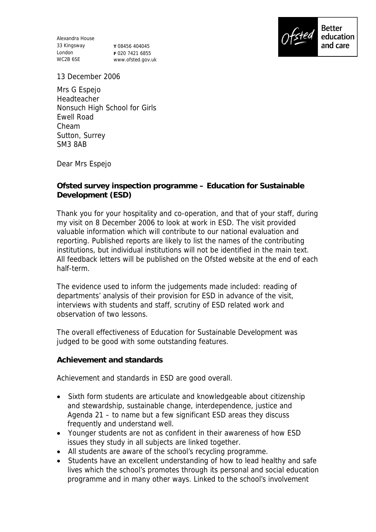Alexandra House 33 Kingsway London WC2B 6SE

**T** 08456 404045 **F** 020 7421 6855 www.ofsted.gov.uk



13 December 2006

Mrs G Espejo Headteacher Nonsuch High School for Girls Ewell Road Cheam Sutton, Surrey SM3 8AB

Dear Mrs Espejo

**Ofsted survey inspection programme – Education for Sustainable Development (ESD)** 

Thank you for your hospitality and co-operation, and that of your staff, during my visit on 8 December 2006 to look at work in ESD. The visit provided valuable information which will contribute to our national evaluation and reporting. Published reports are likely to list the names of the contributing institutions, but individual institutions will not be identified in the main text. All feedback letters will be published on the Ofsted website at the end of each half-term.

The evidence used to inform the judgements made included: reading of departments' analysis of their provision for ESD in advance of the visit, interviews with students and staff, scrutiny of ESD related work and observation of two lessons.

The overall effectiveness of Education for Sustainable Development was judged to be good with some outstanding features.

**Achievement and standards** 

Achievement and standards in ESD are good overall.

- Sixth form students are articulate and knowledgeable about citizenship and stewardship, sustainable change, interdependence, justice and Agenda 21 – to name but a few significant ESD areas they discuss frequently and understand well.
- Younger students are not as confident in their awareness of how ESD issues they study in all subjects are linked together.
- All students are aware of the school's recycling programme.
- Students have an excellent understanding of how to lead healthy and safe lives which the school's promotes through its personal and social education programme and in many other ways. Linked to the school's involvement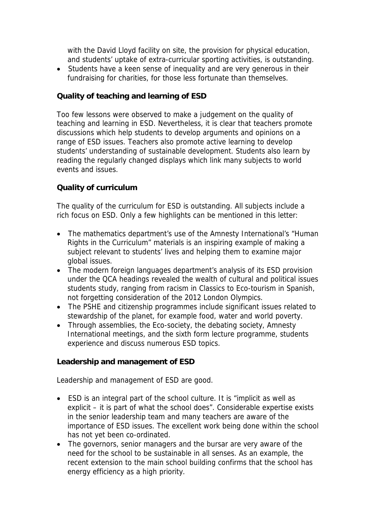with the David Lloyd facility on site, the provision for physical education, and students' uptake of extra-curricular sporting activities, is outstanding.

• Students have a keen sense of inequality and are very generous in their fundraising for charities, for those less fortunate than themselves.

## **Quality of teaching and learning of ESD**

Too few lessons were observed to make a judgement on the quality of teaching and learning in ESD. Nevertheless, it is clear that teachers promote discussions which help students to develop arguments and opinions on a range of ESD issues. Teachers also promote active learning to develop students' understanding of sustainable development. Students also learn by reading the regularly changed displays which link many subjects to world events and issues.

## **Quality of curriculum**

The quality of the curriculum for ESD is outstanding. All subjects include a rich focus on ESD. Only a few highlights can be mentioned in this letter:

- The mathematics department's use of the Amnesty International's "Human Rights in the Curriculum" materials is an inspiring example of making a subject relevant to students' lives and helping them to examine major global issues.
- The modern foreign languages department's analysis of its ESD provision under the QCA headings revealed the wealth of cultural and political issues students study, ranging from racism in Classics to Eco-tourism in Spanish, not forgetting consideration of the 2012 London Olympics.
- The PSHE and citizenship programmes include significant issues related to stewardship of the planet, for example food, water and world poverty.
- Through assemblies, the Eco-society, the debating society, Amnesty International meetings, and the sixth form lecture programme, students experience and discuss numerous ESD topics.

**Leadership and management of ESD**

Leadership and management of ESD are good.

- ESD is an integral part of the school culture. It is "implicit as well as explicit – it is part of what the school does". Considerable expertise exists in the senior leadership team and many teachers are aware of the importance of ESD issues. The excellent work being done within the school has not yet been co-ordinated.
- The governors, senior managers and the bursar are very aware of the need for the school to be sustainable in all senses. As an example, the recent extension to the main school building confirms that the school has energy efficiency as a high priority.